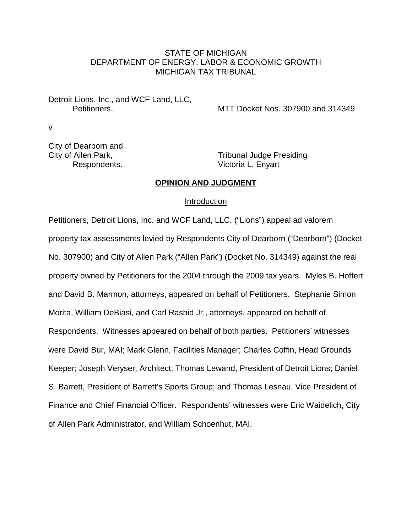### STATE OF MICHIGAN DEPARTMENT OF ENERGY, LABOR & ECONOMIC GROWTH MICHIGAN TAX TRIBUNAL

Detroit Lions, Inc., and WCF Land, LLC,

Petitioners, MTT Docket Nos. 307900 and 314349

v

City of Dearborn and

City of Allen Park, Tribunal Judge Presiding Respondents. Victoria L. Enyart

#### **OPINION AND JUDGMENT**

#### Introduction

Petitioners, Detroit Lions, Inc. and WCF Land, LLC, ("Lions") appeal ad valorem property tax assessments levied by Respondents City of Dearborn ("Dearborn") (Docket No. 307900) and City of Allen Park ("Allen Park") (Docket No. 314349) against the real property owned by Petitioners for the 2004 through the 2009 tax years. Myles B. Hoffert and David B. Marmon, attorneys, appeared on behalf of Petitioners. Stephanie Simon Morita, William DeBiasi, and Carl Rashid Jr., attorneys, appeared on behalf of Respondents. Witnesses appeared on behalf of both parties. Petitioners' witnesses were David Bur, MAI; Mark Glenn, Facilities Manager; Charles Coffin, Head Grounds Keeper; Joseph Veryser, Architect; Thomas Lewand, President of Detroit Lions; Daniel S. Barrett, President of Barrett's Sports Group; and Thomas Lesnau, Vice President of Finance and Chief Financial Officer. Respondents' witnesses were Eric Waidelich, City of Allen Park Administrator, and William Schoenhut, MAI.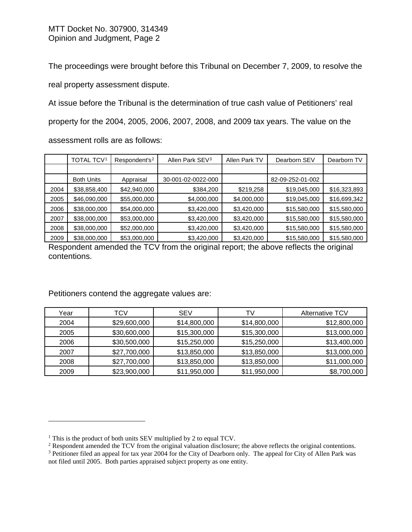The proceedings were brought before this Tribunal on December 7, 2009, to resolve the real property assessment dispute.

At issue before the Tribunal is the determination of true cash value of Petitioners' real property for the 2004, 2005, 2006, 2007, 2008, and 2009 tax years. The value on the assessment rolls are as follows:

|      | <b>TOTAL TCV1</b> | Respondent's <sup>2</sup> | Allen Park SEV <sup>3</sup> | Allen Park TV | Dearborn SEV     | Dearborn TV  |
|------|-------------------|---------------------------|-----------------------------|---------------|------------------|--------------|
|      |                   |                           |                             |               |                  |              |
|      | <b>Both Units</b> | Appraisal                 | 30-001-02-0022-000          |               | 82-09-252-01-002 |              |
| 2004 | \$38,858,400      | \$42,940,000              | \$384,200                   | \$219,258     | \$19,045,000     | \$16,323,893 |
| 2005 | \$46,090,000      | \$55,000,000              | \$4,000,000                 | \$4,000,000   | \$19,045,000     | \$16,699,342 |
| 2006 | \$38,000,000      | \$54,000,000              | \$3,420,000                 | \$3,420,000   | \$15,580,000     | \$15,580,000 |
| 2007 | \$38,000,000      | \$53,000,000              | \$3,420,000                 | \$3,420,000   | \$15,580,000     | \$15,580,000 |
| 2008 | \$38,000,000      | \$52,000,000              | \$3,420,000                 | \$3,420,000   | \$15,580,000     | \$15,580,000 |
| 2009 | \$38,000,000      | \$53,000,000              | \$3,420,000                 | \$3,420,000   | \$15,580,000     | \$15,580,000 |

Respondent amended the TCV from the original report; the above reflects the original contentions.

Petitioners contend the aggregate values are:

| Year | TCV          | <b>SEV</b>   | TV           | <b>Alternative TCV</b> |
|------|--------------|--------------|--------------|------------------------|
| 2004 | \$29,600,000 | \$14,800,000 | \$14,800,000 | \$12,800,000           |
| 2005 | \$30,600,000 | \$15,300,000 | \$15,300,000 | \$13,000,000           |
| 2006 | \$30,500,000 | \$15,250,000 | \$15,250,000 | \$13,400,000           |
| 2007 | \$27,700,000 | \$13,850,000 | \$13,850,000 | \$13,000,000           |
| 2008 | \$27,700,000 | \$13,850,000 | \$13,850,000 | \$11,000,000           |
| 2009 | \$23,900,000 | \$11,950,000 | \$11,950,000 | \$8,700,000            |

 $\overline{a}$ 

<span id="page-1-0"></span><sup>&</sup>lt;sup>1</sup> This is the product of both units SEV multiplied by 2 to equal TCV.

<span id="page-1-1"></span><sup>&</sup>lt;sup>2</sup> Respondent amended the TCV from the original valuation disclosure; the above reflects the original contentions.

<span id="page-1-3"></span><span id="page-1-2"></span><sup>&</sup>lt;sup>3</sup> Petitioner filed an appeal for tax year 2004 for the City of Dearborn only. The appeal for City of Allen Park was not filed until 2005. Both parties appraised subject property as one entity.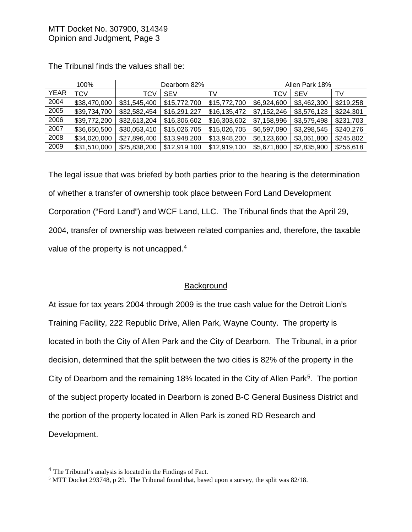|             | 100%         | Dearborn 82% |              | Allen Park 18% |             |             |           |
|-------------|--------------|--------------|--------------|----------------|-------------|-------------|-----------|
| <b>YEAR</b> | <b>TCV</b>   | TCV          | <b>SEV</b>   | TV             | тс∨         | <b>SEV</b>  | TV        |
| 2004        | \$38,470,000 | \$31,545,400 | \$15,772,700 | \$15,772,700   | \$6,924,600 | \$3,462,300 | \$219,258 |
| 2005        | \$39,734,700 | \$32,582,454 | \$16,291,227 | \$16,135,472   | \$7,152,246 | \$3,576,123 | \$224,301 |
| 2006        | \$39,772,200 | \$32,613,204 | \$16,306,602 | \$16,303,602   | \$7,158,996 | \$3,579,498 | \$231,703 |
| 2007        | \$36,650,500 | \$30,053,410 | \$15,026,705 | \$15,026,705   | \$6,597,090 | \$3,298,545 | \$240,276 |
| 2008        | \$34,020,000 | \$27,896,400 | \$13,948,200 | \$13,948,200   | \$6,123,600 | \$3,061,800 | \$245,802 |
| 2009        | \$31,510,000 | \$25,838,200 | \$12,919,100 | \$12,919,100   | \$5,671,800 | \$2,835,900 | \$256,618 |

The Tribunal finds the values shall be:

The legal issue that was briefed by both parties prior to the hearing is the determination of whether a transfer of ownership took place between Ford Land Development Corporation ("Ford Land") and WCF Land, LLC. The Tribunal finds that the April 29, 2004, transfer of ownership was between related companies and, therefore, the taxable value of the property is not uncapped.[4](#page-2-0) 

## **Background**

At issue for tax years 2004 through 2009 is the true cash value for the Detroit Lion's Training Facility, 222 Republic Drive, Allen Park, Wayne County. The property is located in both the City of Allen Park and the City of Dearborn. The Tribunal, in a prior decision, determined that the split between the two cities is 82% of the property in the City of Dearborn and the remaining 18% located in the City of Allen Park<sup>[5](#page-2-1)</sup>. The portion of the subject property located in Dearborn is zoned B-C General Business District and the portion of the property located in Allen Park is zoned RD Research and Development.

<span id="page-2-0"></span><sup>&</sup>lt;sup>4</sup> The Tribunal's analysis is located in the Findings of Fact.

<span id="page-2-1"></span><sup>5</sup> MTT Docket 293748, p 29. The Tribunal found that, based upon a survey, the split was 82/18.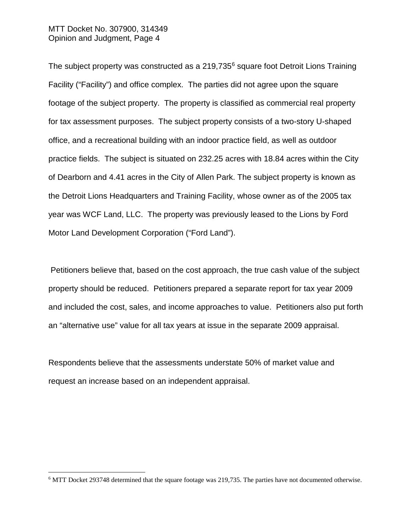The subject property was constructed as a 219,735<sup>[6](#page-3-0)</sup> square foot Detroit Lions Training Facility ("Facility") and office complex. The parties did not agree upon the square footage of the subject property. The property is classified as commercial real property for tax assessment purposes. The subject property consists of a two-story U-shaped office, and a recreational building with an indoor practice field, as well as outdoor practice fields. The subject is situated on 232.25 acres with 18.84 acres within the City of Dearborn and 4.41 acres in the City of Allen Park. The subject property is known as the Detroit Lions Headquarters and Training Facility, whose owner as of the 2005 tax year was WCF Land, LLC. The property was previously leased to the Lions by Ford Motor Land Development Corporation ("Ford Land").

Petitioners believe that, based on the cost approach, the true cash value of the subject property should be reduced. Petitioners prepared a separate report for tax year 2009 and included the cost, sales, and income approaches to value. Petitioners also put forth an "alternative use" value for all tax years at issue in the separate 2009 appraisal.

Respondents believe that the assessments understate 50% of market value and request an increase based on an independent appraisal.

<span id="page-3-0"></span> <sup>6</sup> MTT Docket 293748 determined that the square footage was 219,735. The parties have not documented otherwise.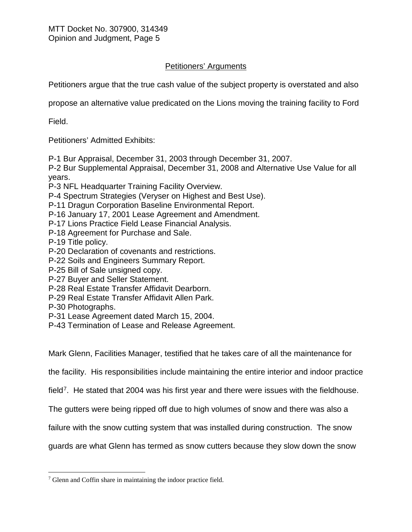# Petitioners' Arguments

Petitioners argue that the true cash value of the subject property is overstated and also

propose an alternative value predicated on the Lions moving the training facility to Ford

Field.

Petitioners' Admitted Exhibits:

P-1 Bur Appraisal, December 31, 2003 through December 31, 2007.

P-2 Bur Supplemental Appraisal, December 31, 2008 and Alternative Use Value for all years.

- P-3 NFL Headquarter Training Facility Overview.
- P-4 Spectrum Strategies (Veryser on Highest and Best Use).
- P-11 Dragun Corporation Baseline Environmental Report.
- P-16 January 17, 2001 Lease Agreement and Amendment.
- P-17 Lions Practice Field Lease Financial Analysis.
- P-18 Agreement for Purchase and Sale.
- P-19 Title policy.
- P-20 Declaration of covenants and restrictions.
- P-22 Soils and Engineers Summary Report.
- P-25 Bill of Sale unsigned copy.
- P-27 Buyer and Seller Statement.
- P-28 Real Estate Transfer Affidavit Dearborn.
- P-29 Real Estate Transfer Affidavit Allen Park.
- P-30 Photographs.
- P-31 Lease Agreement dated March 15, 2004.
- P-43 Termination of Lease and Release Agreement.

Mark Glenn, Facilities Manager, testified that he takes care of all the maintenance for

the facility. His responsibilities include maintaining the entire interior and indoor practice

field<sup>[7](#page-4-0)</sup>. He stated that 2004 was his first year and there were issues with the fieldhouse.

The gutters were being ripped off due to high volumes of snow and there was also a

failure with the snow cutting system that was installed during construction. The snow

guards are what Glenn has termed as snow cutters because they slow down the snow

<span id="page-4-0"></span> <sup>7</sup> Glenn and Coffin share in maintaining the indoor practice field.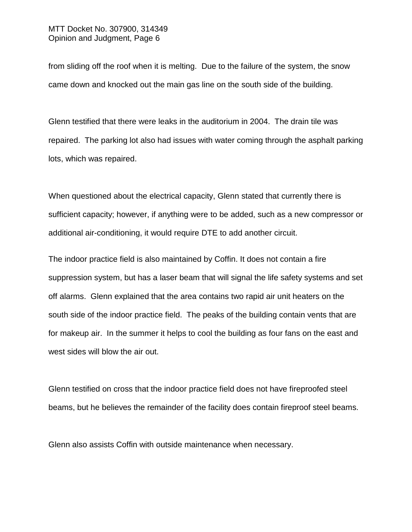from sliding off the roof when it is melting. Due to the failure of the system, the snow came down and knocked out the main gas line on the south side of the building.

Glenn testified that there were leaks in the auditorium in 2004. The drain tile was repaired. The parking lot also had issues with water coming through the asphalt parking lots, which was repaired.

When questioned about the electrical capacity, Glenn stated that currently there is sufficient capacity; however, if anything were to be added, such as a new compressor or additional air-conditioning, it would require DTE to add another circuit.

The indoor practice field is also maintained by Coffin. It does not contain a fire suppression system, but has a laser beam that will signal the life safety systems and set off alarms. Glenn explained that the area contains two rapid air unit heaters on the south side of the indoor practice field. The peaks of the building contain vents that are for makeup air. In the summer it helps to cool the building as four fans on the east and west sides will blow the air out.

Glenn testified on cross that the indoor practice field does not have fireproofed steel beams, but he believes the remainder of the facility does contain fireproof steel beams.

Glenn also assists Coffin with outside maintenance when necessary.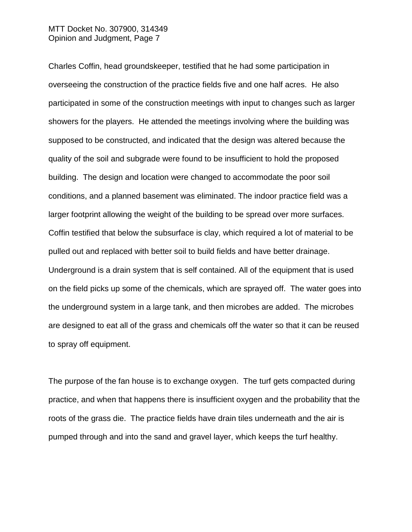Charles Coffin, head groundskeeper, testified that he had some participation in overseeing the construction of the practice fields five and one half acres. He also participated in some of the construction meetings with input to changes such as larger showers for the players. He attended the meetings involving where the building was supposed to be constructed, and indicated that the design was altered because the quality of the soil and subgrade were found to be insufficient to hold the proposed building. The design and location were changed to accommodate the poor soil conditions, and a planned basement was eliminated. The indoor practice field was a larger footprint allowing the weight of the building to be spread over more surfaces. Coffin testified that below the subsurface is clay, which required a lot of material to be pulled out and replaced with better soil to build fields and have better drainage. Underground is a drain system that is self contained. All of the equipment that is used on the field picks up some of the chemicals, which are sprayed off. The water goes into the underground system in a large tank, and then microbes are added. The microbes are designed to eat all of the grass and chemicals off the water so that it can be reused to spray off equipment.

The purpose of the fan house is to exchange oxygen. The turf gets compacted during practice, and when that happens there is insufficient oxygen and the probability that the roots of the grass die. The practice fields have drain tiles underneath and the air is pumped through and into the sand and gravel layer, which keeps the turf healthy.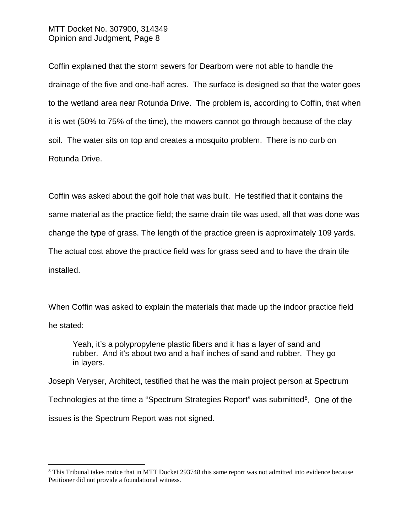Coffin explained that the storm sewers for Dearborn were not able to handle the drainage of the five and one-half acres. The surface is designed so that the water goes to the wetland area near Rotunda Drive. The problem is, according to Coffin, that when it is wet (50% to 75% of the time), the mowers cannot go through because of the clay soil. The water sits on top and creates a mosquito problem. There is no curb on Rotunda Drive.

Coffin was asked about the golf hole that was built. He testified that it contains the same material as the practice field; the same drain tile was used, all that was done was change the type of grass. The length of the practice green is approximately 109 yards. The actual cost above the practice field was for grass seed and to have the drain tile installed.

When Coffin was asked to explain the materials that made up the indoor practice field he stated:

Yeah, it's a polypropylene plastic fibers and it has a layer of sand and rubber. And it's about two and a half inches of sand and rubber. They go in layers.

Joseph Veryser, Architect, testified that he was the main project person at Spectrum Technologies at the time a "Spectrum Strategies Report" was submitted<sup>[8](#page-7-0)</sup>. One of the issues is the Spectrum Report was not signed.

<span id="page-7-0"></span> <sup>8</sup> This Tribunal takes notice that in MTT Docket 293748 this same report was not admitted into evidence because Petitioner did not provide a foundational witness.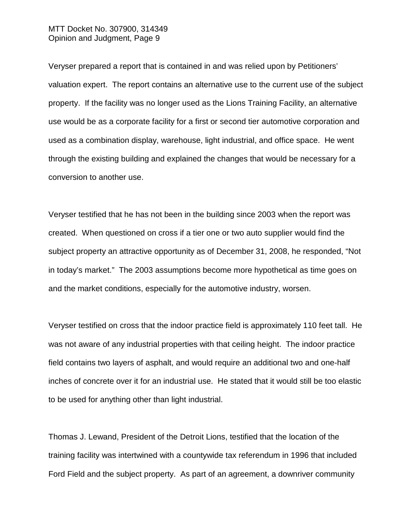Veryser prepared a report that is contained in and was relied upon by Petitioners' valuation expert. The report contains an alternative use to the current use of the subject property. If the facility was no longer used as the Lions Training Facility, an alternative use would be as a corporate facility for a first or second tier automotive corporation and used as a combination display, warehouse, light industrial, and office space. He went through the existing building and explained the changes that would be necessary for a conversion to another use.

Veryser testified that he has not been in the building since 2003 when the report was created. When questioned on cross if a tier one or two auto supplier would find the subject property an attractive opportunity as of December 31, 2008, he responded, "Not in today's market." The 2003 assumptions become more hypothetical as time goes on and the market conditions, especially for the automotive industry, worsen.

Veryser testified on cross that the indoor practice field is approximately 110 feet tall. He was not aware of any industrial properties with that ceiling height. The indoor practice field contains two layers of asphalt, and would require an additional two and one-half inches of concrete over it for an industrial use. He stated that it would still be too elastic to be used for anything other than light industrial.

Thomas J. Lewand, President of the Detroit Lions, testified that the location of the training facility was intertwined with a countywide tax referendum in 1996 that included Ford Field and the subject property. As part of an agreement, a downriver community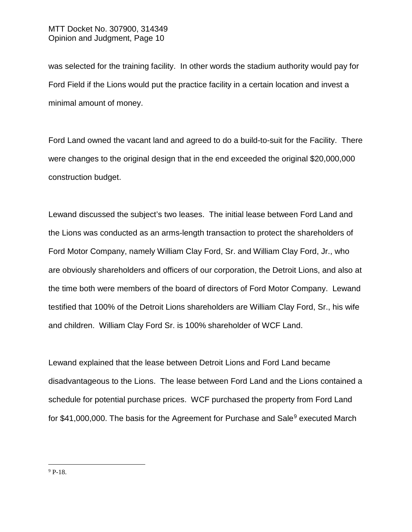was selected for the training facility. In other words the stadium authority would pay for Ford Field if the Lions would put the practice facility in a certain location and invest a minimal amount of money.

Ford Land owned the vacant land and agreed to do a build-to-suit for the Facility. There were changes to the original design that in the end exceeded the original \$20,000,000 construction budget.

Lewand discussed the subject's two leases. The initial lease between Ford Land and the Lions was conducted as an arms-length transaction to protect the shareholders of Ford Motor Company, namely William Clay Ford, Sr. and William Clay Ford, Jr., who are obviously shareholders and officers of our corporation, the Detroit Lions, and also at the time both were members of the board of directors of Ford Motor Company. Lewand testified that 100% of the Detroit Lions shareholders are William Clay Ford, Sr., his wife and children. William Clay Ford Sr. is 100% shareholder of WCF Land.

<span id="page-9-0"></span>Lewand explained that the lease between Detroit Lions and Ford Land became disadvantageous to the Lions. The lease between Ford Land and the Lions contained a schedule for potential purchase prices. WCF purchased the property from Ford Land for \$41,000,000. The basis for the Agreement for Purchase and Sale<sup>[9](#page-9-0)</sup> executed March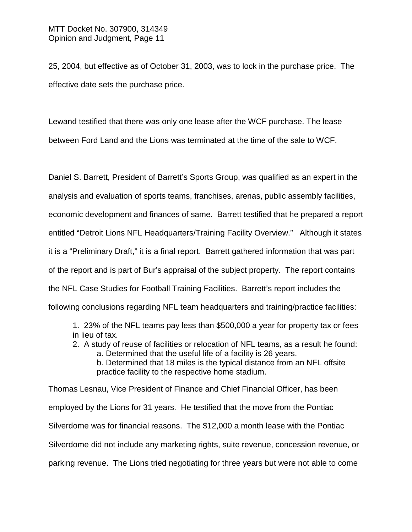25, 2004, but effective as of October 31, 2003, was to lock in the purchase price. The effective date sets the purchase price.

Lewand testified that there was only one lease after the WCF purchase. The lease between Ford Land and the Lions was terminated at the time of the sale to WCF.

Daniel S. Barrett, President of Barrett's Sports Group, was qualified as an expert in the

analysis and evaluation of sports teams, franchises, arenas, public assembly facilities,

economic development and finances of same. Barrett testified that he prepared a report

entitled "Detroit Lions NFL Headquarters/Training Facility Overview." Although it states

it is a "Preliminary Draft," it is a final report. Barrett gathered information that was part

of the report and is part of Bur's appraisal of the subject property. The report contains

the NFL Case Studies for Football Training Facilities. Barrett's report includes the

following conclusions regarding NFL team headquarters and training/practice facilities:

1. 23% of the NFL teams pay less than \$500,000 a year for property tax or fees in lieu of tax.

2. A study of reuse of facilities or relocation of NFL teams, as a result he found: a. Determined that the useful life of a facility is 26 years.

b. Determined that 18 miles is the typical distance from an NFL offsite practice facility to the respective home stadium.

Thomas Lesnau, Vice President of Finance and Chief Financial Officer, has been employed by the Lions for 31 years. He testified that the move from the Pontiac Silverdome was for financial reasons. The \$12,000 a month lease with the Pontiac Silverdome did not include any marketing rights, suite revenue, concession revenue, or parking revenue. The Lions tried negotiating for three years but were not able to come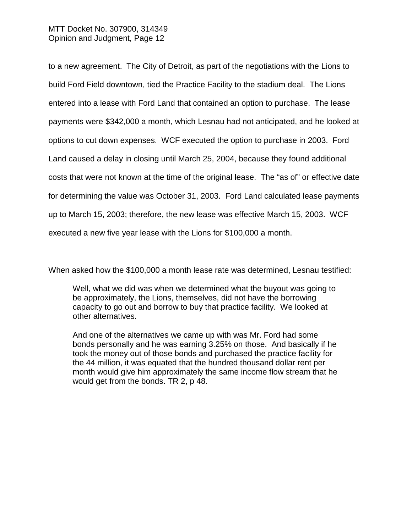to a new agreement. The City of Detroit, as part of the negotiations with the Lions to build Ford Field downtown, tied the Practice Facility to the stadium deal. The Lions entered into a lease with Ford Land that contained an option to purchase. The lease payments were \$342,000 a month, which Lesnau had not anticipated, and he looked at options to cut down expenses. WCF executed the option to purchase in 2003. Ford Land caused a delay in closing until March 25, 2004, because they found additional costs that were not known at the time of the original lease. The "as of" or effective date for determining the value was October 31, 2003. Ford Land calculated lease payments up to March 15, 2003; therefore, the new lease was effective March 15, 2003. WCF executed a new five year lease with the Lions for \$100,000 a month.

When asked how the \$100,000 a month lease rate was determined, Lesnau testified:

Well, what we did was when we determined what the buyout was going to be approximately, the Lions, themselves, did not have the borrowing capacity to go out and borrow to buy that practice facility. We looked at other alternatives.

And one of the alternatives we came up with was Mr. Ford had some bonds personally and he was earning 3.25% on those. And basically if he took the money out of those bonds and purchased the practice facility for the 44 million, it was equated that the hundred thousand dollar rent per month would give him approximately the same income flow stream that he would get from the bonds. TR 2, p 48.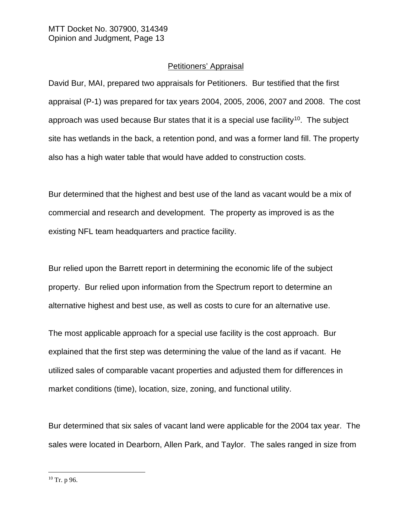## Petitioners' Appraisal

David Bur, MAI, prepared two appraisals for Petitioners. Bur testified that the first appraisal (P-1) was prepared for tax years 2004, 2005, 2006, 2007 and 2008. The cost approach was used because Bur states that it is a special use facility<sup>[10](#page-12-0)</sup>. The subject site has wetlands in the back, a retention pond, and was a former land fill. The property also has a high water table that would have added to construction costs.

Bur determined that the highest and best use of the land as vacant would be a mix of commercial and research and development. The property as improved is as the existing NFL team headquarters and practice facility.

Bur relied upon the Barrett report in determining the economic life of the subject property. Bur relied upon information from the Spectrum report to determine an alternative highest and best use, as well as costs to cure for an alternative use.

The most applicable approach for a special use facility is the cost approach. Bur explained that the first step was determining the value of the land as if vacant. He utilized sales of comparable vacant properties and adjusted them for differences in market conditions (time), location, size, zoning, and functional utility.

Bur determined that six sales of vacant land were applicable for the 2004 tax year. The sales were located in Dearborn, Allen Park, and Taylor. The sales ranged in size from

<span id="page-12-0"></span> $10$  Tr. p 96.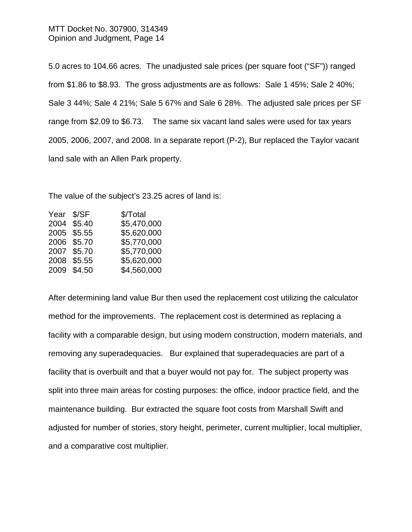5.0 acres to 104.66 acres. The unadjusted sale prices (per square foot ("SF")) ranged from \$1.86 to \$8.93. The gross adjustments are as follows: Sale 1 45%; Sale 2 40%; Sale 3 44%; Sale 4 21%; Sale 5 67% and Sale 6 28%. The adjusted sale prices per SF range from \$2.09 to \$6.73. The same six vacant land sales were used for tax years 2005, 2006, 2007, and 2008. In a separate report (P-2), Bur replaced the Taylor vacant land sale with an Allen Park property.

The value of the subject's 23.25 acres of land is:

| \$/SF          | \$/Total    |
|----------------|-------------|
| \$5.40         | \$5,470,000 |
| \$5.55         | \$5,620,000 |
| \$5.70         | \$5,770,000 |
| \$5.70<br>2007 | \$5,770,000 |
| \$5.55         | \$5,620,000 |
| 2009 \$4.50    | \$4,560,000 |
|                |             |

After determining land value Bur then used the replacement cost utilizing the calculator method for the improvements. The replacement cost is determined as replacing a facility with a comparable design, but using modern construction, modern materials, and removing any superadequacies. Bur explained that superadequacies are part of a facility that is overbuilt and that a buyer would not pay for. The subject property was split into three main areas for costing purposes: the office, indoor practice field, and the maintenance building. Bur extracted the square foot costs from Marshall Swift and adjusted for number of stories, story height, perimeter, current multiplier, local multiplier, and a comparative cost multiplier.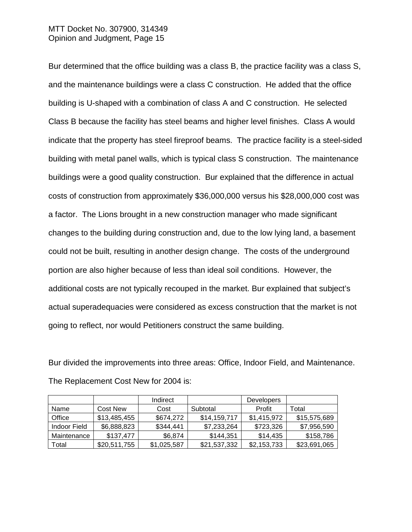Bur determined that the office building was a class B, the practice facility was a class S, and the maintenance buildings were a class C construction. He added that the office building is U-shaped with a combination of class A and C construction. He selected Class B because the facility has steel beams and higher level finishes. Class A would indicate that the property has steel fireproof beams. The practice facility is a steel-sided building with metal panel walls, which is typical class S construction. The maintenance buildings were a good quality construction. Bur explained that the difference in actual costs of construction from approximately \$36,000,000 versus his \$28,000,000 cost was a factor. The Lions brought in a new construction manager who made significant changes to the building during construction and, due to the low lying land, a basement could not be built, resulting in another design change. The costs of the underground portion are also higher because of less than ideal soil conditions. However, the additional costs are not typically recouped in the market. Bur explained that subject's actual superadequacies were considered as excess construction that the market is not going to reflect, nor would Petitioners construct the same building.

Bur divided the improvements into three areas: Office, Indoor Field, and Maintenance. The Replacement Cost New for 2004 is:

|              |              | Indirect    |              | <b>Developers</b> |              |
|--------------|--------------|-------------|--------------|-------------------|--------------|
| Name         | Cost New     | Cost        | Subtotal     | Profit            | Total        |
| Office       | \$13,485,455 | \$674,272   | \$14,159,717 | \$1,415,972       | \$15,575,689 |
| Indoor Field | \$6,888,823  | \$344,441   | \$7,233,264  | \$723,326         | \$7,956,590  |
| Maintenance  | \$137,477    | \$6,874     | \$144,351    | \$14,435          | \$158,786    |
| Total        | \$20,511,755 | \$1,025,587 | \$21,537,332 | \$2,153,733       | \$23,691,065 |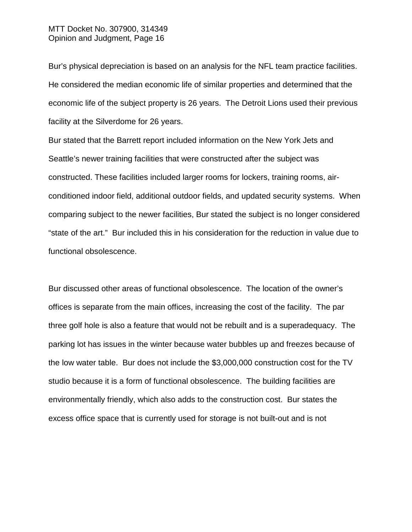Bur's physical depreciation is based on an analysis for the NFL team practice facilities. He considered the median economic life of similar properties and determined that the economic life of the subject property is 26 years. The Detroit Lions used their previous facility at the Silverdome for 26 years.

Bur stated that the Barrett report included information on the New York Jets and Seattle's newer training facilities that were constructed after the subject was constructed. These facilities included larger rooms for lockers, training rooms, airconditioned indoor field, additional outdoor fields, and updated security systems. When comparing subject to the newer facilities, Bur stated the subject is no longer considered "state of the art." Bur included this in his consideration for the reduction in value due to functional obsolescence.

Bur discussed other areas of functional obsolescence. The location of the owner's offices is separate from the main offices, increasing the cost of the facility. The par three golf hole is also a feature that would not be rebuilt and is a superadequacy. The parking lot has issues in the winter because water bubbles up and freezes because of the low water table. Bur does not include the \$3,000,000 construction cost for the TV studio because it is a form of functional obsolescence. The building facilities are environmentally friendly, which also adds to the construction cost. Bur states the excess office space that is currently used for storage is not built-out and is not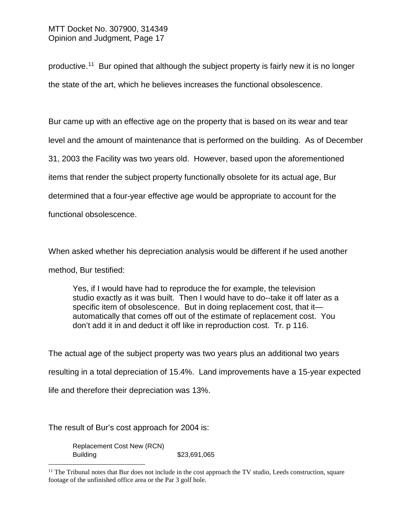productive. [11](#page-16-0) Bur opined that although the subject property is fairly new it is no longer the state of the art, which he believes increases the functional obsolescence.

Bur came up with an effective age on the property that is based on its wear and tear level and the amount of maintenance that is performed on the building. As of December 31, 2003 the Facility was two years old. However, based upon the aforementioned items that render the subject property functionally obsolete for its actual age, Bur determined that a four-year effective age would be appropriate to account for the functional obsolescence.

When asked whether his depreciation analysis would be different if he used another method, Bur testified:

Yes, if I would have had to reproduce the for example, the television studio exactly as it was built. Then I would have to do--take it off later as a specific item of obsolescence. But in doing replacement cost, that it automatically that comes off out of the estimate of replacement cost. You don't add it in and deduct it off like in reproduction cost. Tr. p 116.

The actual age of the subject property was two years plus an additional two years resulting in a total depreciation of 15.4%. Land improvements have a 15-year expected life and therefore their depreciation was 13%.

The result of Bur's cost approach for 2004 is:

Replacement Cost New (RCN) Building \$23,691,065

<span id="page-16-0"></span><sup>&</sup>lt;sup>11</sup> The Tribunal notes that Bur does not include in the cost approach the TV studio, Leeds construction, square footage of the unfinished office area or the Par 3 golf hole.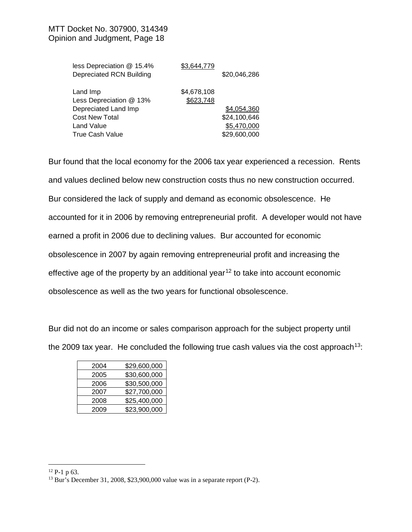| less Depreciation @ 15.4%<br>Depreciated RCN Building | \$3.644.779              | \$20,046,286 |
|-------------------------------------------------------|--------------------------|--------------|
| Land Imp<br>Less Depreciation @ 13%                   | \$4,678,108<br>\$623,748 |              |
| Depreciated Land Imp                                  |                          | \$4,054,360  |
| <b>Cost New Total</b>                                 |                          | \$24,100,646 |
| Land Value                                            |                          | \$5,470,000  |
| <b>True Cash Value</b>                                |                          | \$29,600,000 |
|                                                       |                          |              |

Bur found that the local economy for the 2006 tax year experienced a recession. Rents and values declined below new construction costs thus no new construction occurred. Bur considered the lack of supply and demand as economic obsolescence. He accounted for it in 2006 by removing entrepreneurial profit. A developer would not have earned a profit in 2006 due to declining values. Bur accounted for economic obsolescence in 2007 by again removing entrepreneurial profit and increasing the effective age of the property by an additional year<sup>[12](#page-17-0)</sup> to take into account economic obsolescence as well as the two years for functional obsolescence.

Bur did not do an income or sales comparison approach for the subject property until the 2009 tax year. He concluded the following true cash values via the cost approach<sup>13</sup>:

| 2004 | \$29,600,000 |
|------|--------------|
| 2005 | \$30,600,000 |
| 2006 | \$30,500,000 |
| 2007 | \$27,700,000 |
| 2008 | \$25,400,000 |
| 2009 | \$23,900,000 |

<span id="page-17-0"></span> $12$  P-1 p 63.

<span id="page-17-1"></span><sup>13</sup> Bur's December 31, 2008, \$23,900,000 value was in a separate report (P-2).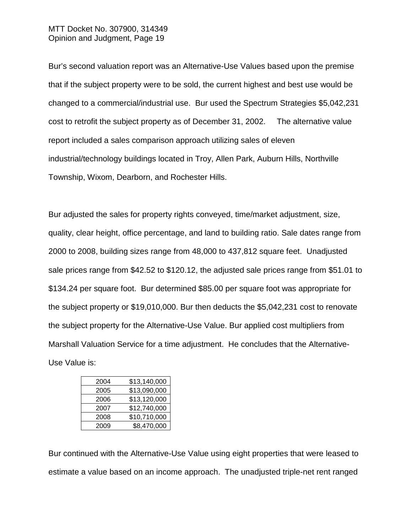Bur's second valuation report was an Alternative-Use Values based upon the premise that if the subject property were to be sold, the current highest and best use would be changed to a commercial/industrial use. Bur used the Spectrum Strategies \$5,042,231 cost to retrofit the subject property as of December 31, 2002. The alternative value report included a sales comparison approach utilizing sales of eleven industrial/technology buildings located in Troy, Allen Park, Auburn Hills, Northville Township, Wixom, Dearborn, and Rochester Hills.

Bur adjusted the sales for property rights conveyed, time/market adjustment, size, quality, clear height, office percentage, and land to building ratio. Sale dates range from 2000 to 2008, building sizes range from 48,000 to 437,812 square feet. Unadjusted sale prices range from \$42.52 to \$120.12, the adjusted sale prices range from \$51.01 to \$134.24 per square foot. Bur determined \$85.00 per square foot was appropriate for the subject property or \$19,010,000. Bur then deducts the \$5,042,231 cost to renovate the subject property for the Alternative-Use Value. Bur applied cost multipliers from Marshall Valuation Service for a time adjustment. He concludes that the Alternative-Use Value is:

| 2004 | \$13,140,000 |
|------|--------------|
| 2005 | \$13,090,000 |
| 2006 | \$13,120,000 |
| 2007 | \$12,740,000 |
| 2008 | \$10,710,000 |
| 2009 | \$8,470,000  |

Bur continued with the Alternative-Use Value using eight properties that were leased to estimate a value based on an income approach. The unadjusted triple-net rent ranged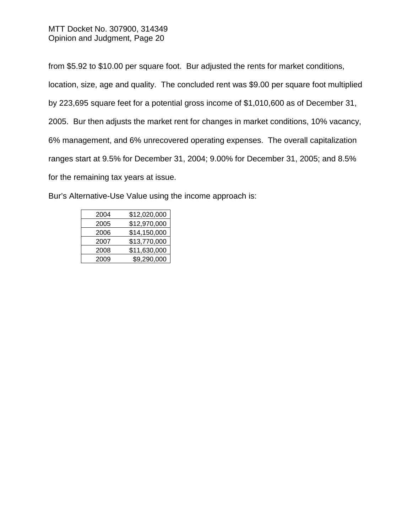from \$5.92 to \$10.00 per square foot. Bur adjusted the rents for market conditions, location, size, age and quality. The concluded rent was \$9.00 per square foot multiplied by 223,695 square feet for a potential gross income of \$1,010,600 as of December 31, 2005. Bur then adjusts the market rent for changes in market conditions, 10% vacancy, 6% management, and 6% unrecovered operating expenses. The overall capitalization ranges start at 9.5% for December 31, 2004; 9.00% for December 31, 2005; and 8.5% for the remaining tax years at issue.

Bur's Alternative-Use Value using the income approach is:

| 2004 | \$12,020,000 |
|------|--------------|
| 2005 | \$12,970,000 |
| 2006 | \$14,150,000 |
| 2007 | \$13,770,000 |
| 2008 | \$11,630,000 |
| 2009 | \$9,290,000  |
|      |              |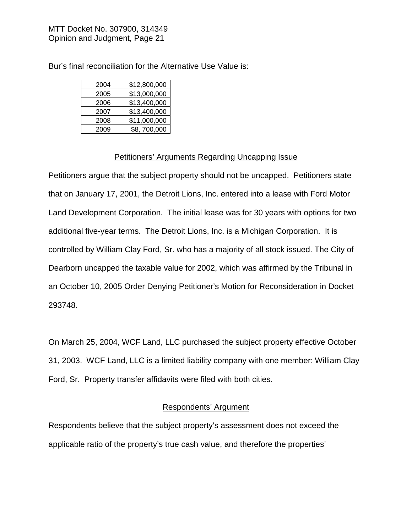Bur's final reconciliation for the Alternative Use Value is:

| 2004 | \$12,800,000 |
|------|--------------|
| 2005 | \$13,000,000 |
| 2006 | \$13,400,000 |
| 2007 | \$13,400,000 |
| 2008 | \$11,000,000 |
| 2009 | \$8,700,000  |

## Petitioners' Arguments Regarding Uncapping Issue

Petitioners argue that the subject property should not be uncapped. Petitioners state that on January 17, 2001, the Detroit Lions, Inc. entered into a lease with Ford Motor Land Development Corporation. The initial lease was for 30 years with options for two additional five-year terms. The Detroit Lions, Inc. is a Michigan Corporation. It is controlled by William Clay Ford, Sr. who has a majority of all stock issued. The City of Dearborn uncapped the taxable value for 2002, which was affirmed by the Tribunal in an October 10, 2005 Order Denying Petitioner's Motion for Reconsideration in Docket 293748.

On March 25, 2004, WCF Land, LLC purchased the subject property effective October 31, 2003. WCF Land, LLC is a limited liability company with one member: William Clay Ford, Sr. Property transfer affidavits were filed with both cities.

## Respondents' Argument

Respondents believe that the subject property's assessment does not exceed the applicable ratio of the property's true cash value, and therefore the properties'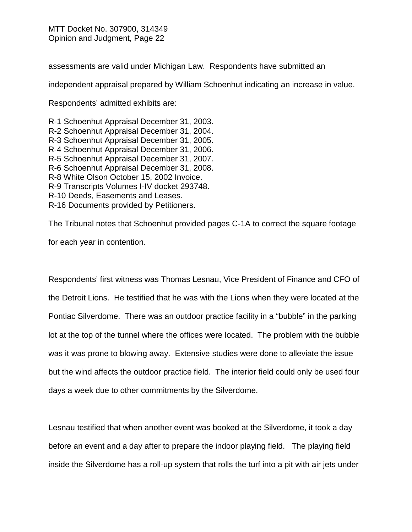assessments are valid under Michigan Law. Respondents have submitted an

independent appraisal prepared by William Schoenhut indicating an increase in value.

Respondents' admitted exhibits are:

R-1 Schoenhut Appraisal December 31, 2003. R-2 Schoenhut Appraisal December 31, 2004. R-3 Schoenhut Appraisal December 31, 2005. R-4 Schoenhut Appraisal December 31, 2006. R-5 Schoenhut Appraisal December 31, 2007. R-6 Schoenhut Appraisal December 31, 2008. R-8 White Olson October 15, 2002 Invoice. R-9 Transcripts Volumes I-IV docket 293748. R-10 Deeds, Easements and Leases. R-16 Documents provided by Petitioners.

The Tribunal notes that Schoenhut provided pages C-1A to correct the square footage

for each year in contention.

Respondents' first witness was Thomas Lesnau, Vice President of Finance and CFO of the Detroit Lions. He testified that he was with the Lions when they were located at the Pontiac Silverdome. There was an outdoor practice facility in a "bubble" in the parking lot at the top of the tunnel where the offices were located. The problem with the bubble was it was prone to blowing away. Extensive studies were done to alleviate the issue but the wind affects the outdoor practice field. The interior field could only be used four days a week due to other commitments by the Silverdome.

Lesnau testified that when another event was booked at the Silverdome, it took a day before an event and a day after to prepare the indoor playing field. The playing field inside the Silverdome has a roll-up system that rolls the turf into a pit with air jets under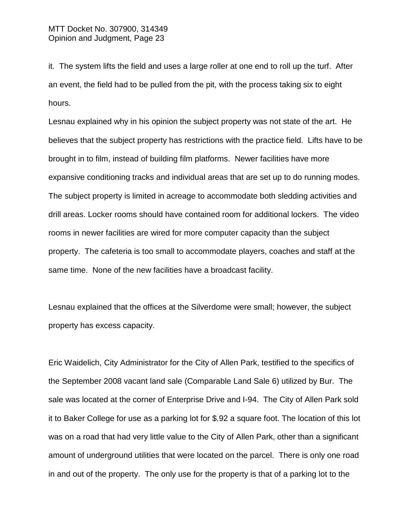it. The system lifts the field and uses a large roller at one end to roll up the turf. After an event, the field had to be pulled from the pit, with the process taking six to eight hours.

Lesnau explained why in his opinion the subject property was not state of the art. He believes that the subject property has restrictions with the practice field. Lifts have to be brought in to film, instead of building film platforms. Newer facilities have more expansive conditioning tracks and individual areas that are set up to do running modes. The subject property is limited in acreage to accommodate both sledding activities and drill areas. Locker rooms should have contained room for additional lockers. The video rooms in newer facilities are wired for more computer capacity than the subject property. The cafeteria is too small to accommodate players, coaches and staff at the same time. None of the new facilities have a broadcast facility.

Lesnau explained that the offices at the Silverdome were small; however, the subject property has excess capacity.

Eric Waidelich, City Administrator for the City of Allen Park, testified to the specifics of the September 2008 vacant land sale (Comparable Land Sale 6) utilized by Bur. The sale was located at the corner of Enterprise Drive and I-94. The City of Allen Park sold it to Baker College for use as a parking lot for \$.92 a square foot. The location of this lot was on a road that had very little value to the City of Allen Park, other than a significant amount of underground utilities that were located on the parcel. There is only one road in and out of the property. The only use for the property is that of a parking lot to the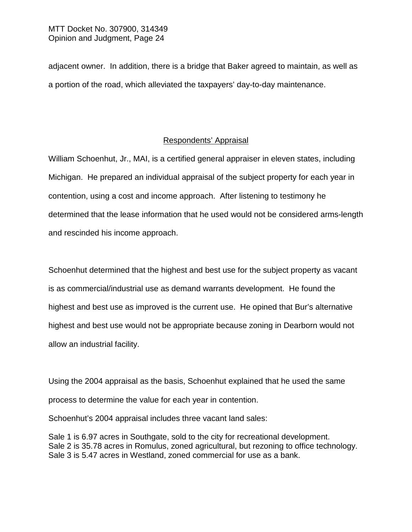adjacent owner. In addition, there is a bridge that Baker agreed to maintain, as well as a portion of the road, which alleviated the taxpayers' day-to-day maintenance.

## Respondents' Appraisal

William Schoenhut, Jr., MAI, is a certified general appraiser in eleven states, including Michigan. He prepared an individual appraisal of the subject property for each year in contention, using a cost and income approach. After listening to testimony he determined that the lease information that he used would not be considered arms-length and rescinded his income approach.

Schoenhut determined that the highest and best use for the subject property as vacant is as commercial/industrial use as demand warrants development. He found the highest and best use as improved is the current use. He opined that Bur's alternative highest and best use would not be appropriate because zoning in Dearborn would not allow an industrial facility.

Using the 2004 appraisal as the basis, Schoenhut explained that he used the same process to determine the value for each year in contention.

Schoenhut's 2004 appraisal includes three vacant land sales:

Sale 1 is 6.97 acres in Southgate, sold to the city for recreational development. Sale 2 is 35.78 acres in Romulus, zoned agricultural, but rezoning to office technology. Sale 3 is 5.47 acres in Westland, zoned commercial for use as a bank.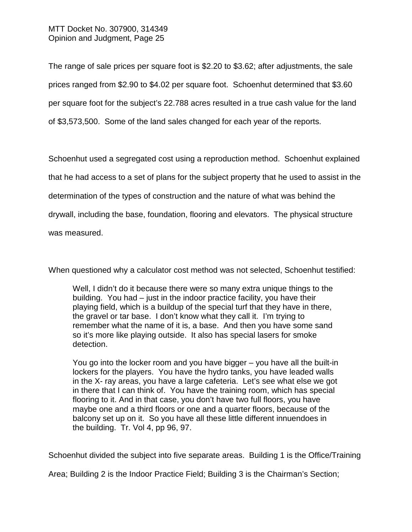The range of sale prices per square foot is \$2.20 to \$3.62; after adjustments, the sale prices ranged from \$2.90 to \$4.02 per square foot. Schoenhut determined that \$3.60 per square foot for the subject's 22.788 acres resulted in a true cash value for the land of \$3,573,500. Some of the land sales changed for each year of the reports.

Schoenhut used a segregated cost using a reproduction method. Schoenhut explained that he had access to a set of plans for the subject property that he used to assist in the determination of the types of construction and the nature of what was behind the drywall, including the base, foundation, flooring and elevators. The physical structure was measured.

When questioned why a calculator cost method was not selected, Schoenhut testified:

Well, I didn't do it because there were so many extra unique things to the building. You had – just in the indoor practice facility, you have their playing field, which is a buildup of the special turf that they have in there, the gravel or tar base. I don't know what they call it. I'm trying to remember what the name of it is, a base. And then you have some sand so it's more like playing outside. It also has special lasers for smoke detection.

You go into the locker room and you have bigger – you have all the built-in lockers for the players. You have the hydro tanks, you have leaded walls in the X- ray areas, you have a large cafeteria. Let's see what else we got in there that I can think of. You have the training room, which has special flooring to it. And in that case, you don't have two full floors, you have maybe one and a third floors or one and a quarter floors, because of the balcony set up on it. So you have all these little different innuendoes in the building. Tr. Vol 4, pp 96, 97.

Schoenhut divided the subject into five separate areas. Building 1 is the Office/Training

Area; Building 2 is the Indoor Practice Field; Building 3 is the Chairman's Section;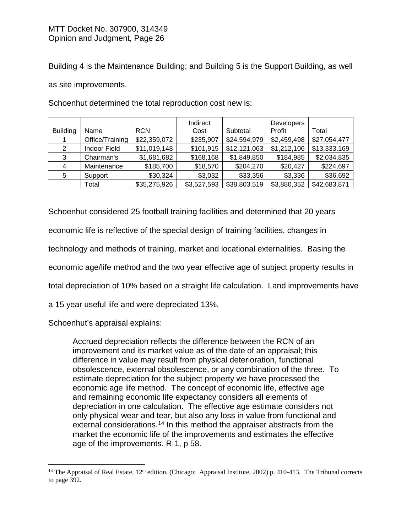Building 4 is the Maintenance Building; and Building 5 is the Support Building, as well

as site improvements.

|                 |                     |              | Indirect    |              | <b>Developers</b> |              |
|-----------------|---------------------|--------------|-------------|--------------|-------------------|--------------|
| <b>Building</b> | Name                | <b>RCN</b>   | Cost        | Subtotal     | Profit            | Total        |
|                 | Office/Training     | \$22,359,072 | \$235,907   | \$24,594,979 | \$2,459,498       | \$27,054,477 |
| 2               | <b>Indoor Field</b> | \$11,019,148 | \$101,915   | \$12,121,063 | \$1,212,106       | \$13,333,169 |
| 3               | Chairman's          | \$1,681,682  | \$168,168   | \$1,849,850  | \$184,985         | \$2,034,835  |
| 4               | Maintenance         | \$185,700    | \$18,570    | \$204,270    | \$20,427          | \$224,697    |
| 5               | Support             | \$30,324     | \$3,032     | \$33,356     | \$3,336           | \$36,692     |
|                 | Total               | \$35,275,926 | \$3,527,593 | \$38,803,519 | \$3,880,352       | \$42,683,871 |

Schoenhut determined the total reproduction cost new is:

Schoenhut considered 25 football training facilities and determined that 20 years economic life is reflective of the special design of training facilities, changes in technology and methods of training, market and locational externalities. Basing the economic age/life method and the two year effective age of subject property results in total depreciation of 10% based on a straight life calculation. Land improvements have

a 15 year useful life and were depreciated 13%.

Schoenhut's appraisal explains:

Accrued depreciation reflects the difference between the RCN of an improvement and its market value as of the date of an appraisal; this difference in value may result from physical deterioration, functional obsolescence, external obsolescence, or any combination of the three. To estimate depreciation for the subject property we have processed the economic age life method. The concept of economic life, effective age and remaining economic life expectancy considers all elements of depreciation in one calculation. The effective age estimate considers not only physical wear and tear, but also any loss in value from functional and external considerations.<sup>[14](#page-25-0)</sup> In this method the appraiser abstracts from the market the economic life of the improvements and estimates the effective age of the improvements. R-1, p 58.

<span id="page-25-0"></span><sup>&</sup>lt;sup>14</sup> The Appraisal of Real Estate,  $12<sup>th</sup>$  edition, (Chicago: Appraisal Institute, 2002) p. 410-413. The Tribunal corrects to page 392.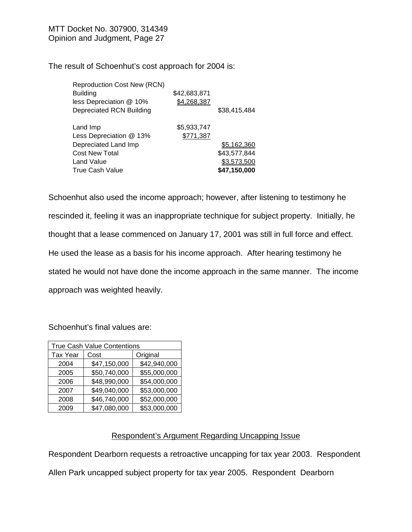The result of Schoenhut's cost approach for 2004 is:

| <b>Reproduction Cost New (RCN)</b><br>Building<br>less Depreciation @ 10%<br>Depreciated RCN Building | \$42,683,871<br>\$4,268,387 | \$38,415,484 |
|-------------------------------------------------------------------------------------------------------|-----------------------------|--------------|
| Land Imp<br>Less Depreciation @ 13%                                                                   | \$5,933,747<br>\$771,387    |              |
| Depreciated Land Imp                                                                                  |                             | \$5,162,360  |
| Cost New Total                                                                                        |                             | \$43,577,844 |
| Land Value                                                                                            |                             | \$3,573,500  |
| True Cash Value                                                                                       |                             | \$47,150,000 |
|                                                                                                       |                             |              |

Schoenhut also used the income approach; however, after listening to testimony he rescinded it, feeling it was an inappropriate technique for subject property. Initially, he thought that a lease commenced on January 17, 2001 was still in full force and effect. He used the lease as a basis for his income approach. After hearing testimony he stated he would not have done the income approach in the same manner. The income approach was weighted heavily.

Schoenhut's final values are:

| <b>True Cash Value Contentions</b> |              |              |  |  |
|------------------------------------|--------------|--------------|--|--|
| <b>Tax Year</b>                    | Cost         | Original     |  |  |
| 2004                               | \$47,150,000 | \$42,940,000 |  |  |
| 2005                               | \$50,740,000 | \$55,000,000 |  |  |
| 2006                               | \$48,990,000 | \$54,000,000 |  |  |
| 2007                               | \$49,040,000 | \$53,000,000 |  |  |
| 2008                               | \$46,740,000 | \$52,000,000 |  |  |
| 2009                               | \$47,080,000 | \$53,000,000 |  |  |

## Respondent's Argument Regarding Uncapping Issue

Respondent Dearborn requests a retroactive uncapping for tax year 2003. Respondent

Allen Park uncapped subject property for tax year 2005. Respondent Dearborn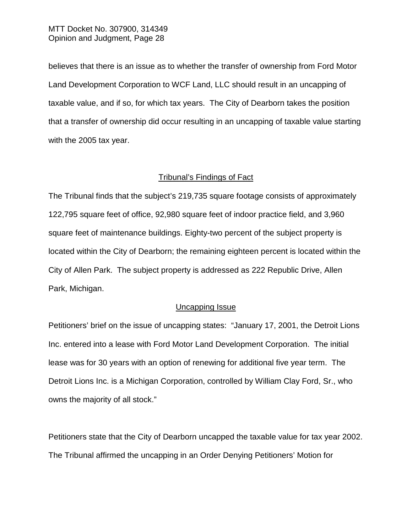believes that there is an issue as to whether the transfer of ownership from Ford Motor Land Development Corporation to WCF Land, LLC should result in an uncapping of taxable value, and if so, for which tax years. The City of Dearborn takes the position that a transfer of ownership did occur resulting in an uncapping of taxable value starting with the 2005 tax year.

### Tribunal's Findings of Fact

The Tribunal finds that the subject's 219,735 square footage consists of approximately 122,795 square feet of office, 92,980 square feet of indoor practice field, and 3,960 square feet of maintenance buildings. Eighty-two percent of the subject property is located within the City of Dearborn; the remaining eighteen percent is located within the City of Allen Park. The subject property is addressed as 222 Republic Drive, Allen Park, Michigan.

### Uncapping Issue

Petitioners' brief on the issue of uncapping states: "January 17, 2001, the Detroit Lions Inc. entered into a lease with Ford Motor Land Development Corporation. The initial lease was for 30 years with an option of renewing for additional five year term. The Detroit Lions Inc. is a Michigan Corporation, controlled by William Clay Ford, Sr., who owns the majority of all stock."

Petitioners state that the City of Dearborn uncapped the taxable value for tax year 2002. The Tribunal affirmed the uncapping in an Order Denying Petitioners' Motion for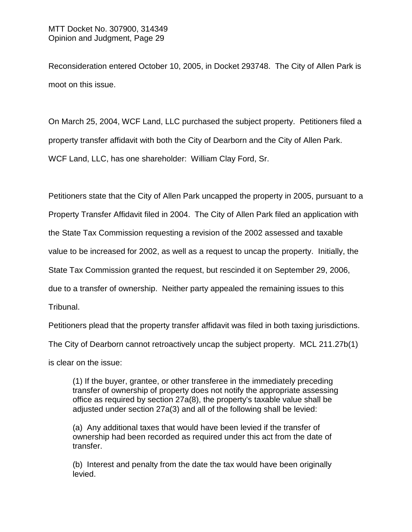Reconsideration entered October 10, 2005, in Docket 293748. The City of Allen Park is moot on this issue.

On March 25, 2004, WCF Land, LLC purchased the subject property. Petitioners filed a property transfer affidavit with both the City of Dearborn and the City of Allen Park. WCF Land, LLC, has one shareholder: William Clay Ford, Sr.

Petitioners state that the City of Allen Park uncapped the property in 2005, pursuant to a Property Transfer Affidavit filed in 2004. The City of Allen Park filed an application with the State Tax Commission requesting a revision of the 2002 assessed and taxable value to be increased for 2002, as well as a request to uncap the property. Initially, the State Tax Commission granted the request, but rescinded it on September 29, 2006, due to a transfer of ownership. Neither party appealed the remaining issues to this Tribunal.

Petitioners plead that the property transfer affidavit was filed in both taxing jurisdictions.

The City of Dearborn cannot retroactively uncap the subject property. MCL 211.27b(1)

is clear on the issue:

(1) If the buyer, grantee, or other transferee in the immediately preceding transfer of ownership of property does not notify the appropriate assessing office as required by section 27a(8), the property's taxable value shall be adjusted under section 27a(3) and all of the following shall be levied:

(a) Any additional taxes that would have been levied if the transfer of ownership had been recorded as required under this act from the date of transfer.

(b) Interest and penalty from the date the tax would have been originally levied.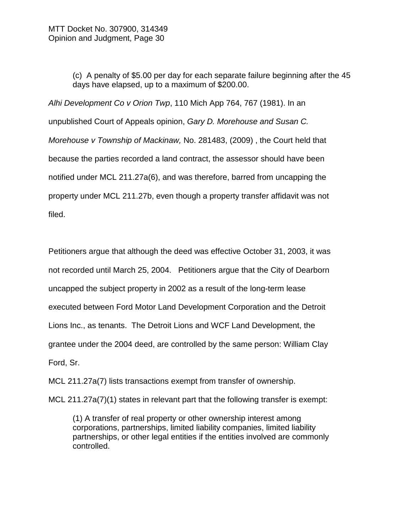(c) A penalty of \$5.00 per day for each separate failure beginning after the 45 days have elapsed, up to a maximum of \$200.00.

*Alhi Development Co v Orion Twp*, 110 Mich App 764, 767 (1981). In an unpublished Court of Appeals opinion, *Gary D. Morehouse and Susan C. Morehouse v Township of Mackinaw,* No. 281483, (2009) , the Court held that because the parties recorded a land contract, the assessor should have been notified under MCL 211.27a(6), and was therefore, barred from uncapping the property under MCL 211.27b, even though a property transfer affidavit was not filed.

Petitioners argue that although the deed was effective October 31, 2003, it was not recorded until March 25, 2004. Petitioners argue that the City of Dearborn uncapped the subject property in 2002 as a result of the long-term lease executed between Ford Motor Land Development Corporation and the Detroit Lions Inc., as tenants. The Detroit Lions and WCF Land Development, the grantee under the 2004 deed, are controlled by the same person: William Clay Ford, Sr.

MCL 211.27a(7) lists transactions exempt from transfer of ownership.

MCL 211.27a(7)(1) states in relevant part that the following transfer is exempt:

(1) A transfer of real property or other ownership interest among corporations, partnerships, limited liability companies, limited liability partnerships, or other legal entities if the entities involved are commonly controlled.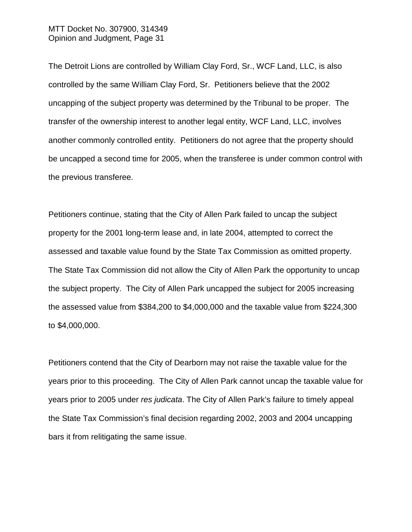The Detroit Lions are controlled by William Clay Ford, Sr., WCF Land, LLC, is also controlled by the same William Clay Ford, Sr. Petitioners believe that the 2002 uncapping of the subject property was determined by the Tribunal to be proper. The transfer of the ownership interest to another legal entity, WCF Land, LLC, involves another commonly controlled entity. Petitioners do not agree that the property should be uncapped a second time for 2005, when the transferee is under common control with the previous transferee.

Petitioners continue, stating that the City of Allen Park failed to uncap the subject property for the 2001 long-term lease and, in late 2004, attempted to correct the assessed and taxable value found by the State Tax Commission as omitted property. The State Tax Commission did not allow the City of Allen Park the opportunity to uncap the subject property. The City of Allen Park uncapped the subject for 2005 increasing the assessed value from \$384,200 to \$4,000,000 and the taxable value from \$224,300 to \$4,000,000.

Petitioners contend that the City of Dearborn may not raise the taxable value for the years prior to this proceeding. The City of Allen Park cannot uncap the taxable value for years prior to 2005 under *res judicata*. The City of Allen Park's failure to timely appeal the State Tax Commission's final decision regarding 2002, 2003 and 2004 uncapping bars it from relitigating the same issue.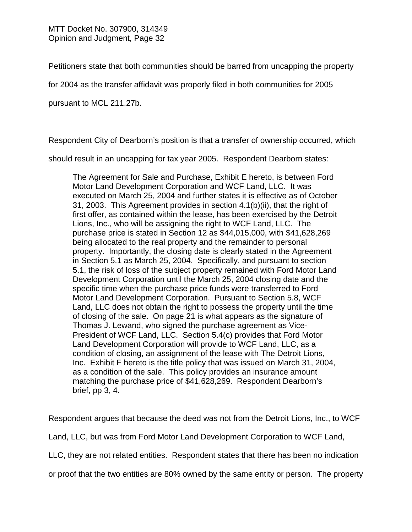Petitioners state that both communities should be barred from uncapping the property

for 2004 as the transfer affidavit was properly filed in both communities for 2005

pursuant to MCL 211.27b.

Respondent City of Dearborn's position is that a transfer of ownership occurred, which

should result in an uncapping for tax year 2005. Respondent Dearborn states:

The Agreement for Sale and Purchase, Exhibit E hereto, is between Ford Motor Land Development Corporation and WCF Land, LLC. It was executed on March 25, 2004 and further states it is effective as of October 31, 2003. This Agreement provides in section 4.1(b)(ii), that the right of first offer, as contained within the lease, has been exercised by the Detroit Lions, Inc., who will be assigning the right to WCF Land, LLC. The purchase price is stated in Section 12 as \$44,015,000, with \$41,628,269 being allocated to the real property and the remainder to personal property. Importantly, the closing date is clearly stated in the Agreement in Section 5.1 as March 25, 2004. Specifically, and pursuant to section 5.1, the risk of loss of the subject property remained with Ford Motor Land Development Corporation until the March 25, 2004 closing date and the specific time when the purchase price funds were transferred to Ford Motor Land Development Corporation. Pursuant to Section 5.8, WCF Land, LLC does not obtain the right to possess the property until the time of closing of the sale. On page 21 is what appears as the signature of Thomas J. Lewand, who signed the purchase agreement as Vice-President of WCF Land, LLC. Section 5.4(c) provides that Ford Motor Land Development Corporation will provide to WCF Land, LLC, as a condition of closing, an assignment of the lease with The Detroit Lions, Inc. Exhibit F hereto is the title policy that was issued on March 31, 2004, as a condition of the sale. This policy provides an insurance amount matching the purchase price of \$41,628,269. Respondent Dearborn's brief, pp 3, 4.

Respondent argues that because the deed was not from the Detroit Lions, Inc., to WCF

Land, LLC, but was from Ford Motor Land Development Corporation to WCF Land,

LLC, they are not related entities. Respondent states that there has been no indication

or proof that the two entities are 80% owned by the same entity or person. The property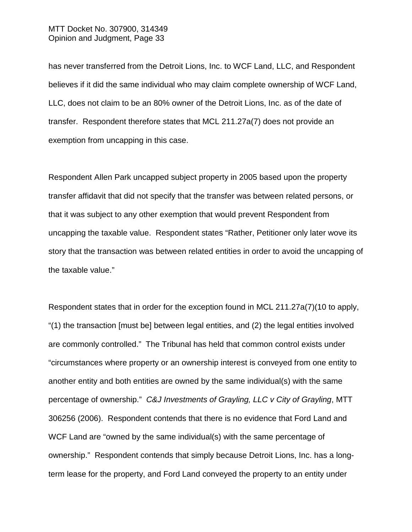has never transferred from the Detroit Lions, Inc. to WCF Land, LLC, and Respondent believes if it did the same individual who may claim complete ownership of WCF Land, LLC, does not claim to be an 80% owner of the Detroit Lions, Inc. as of the date of transfer. Respondent therefore states that MCL 211.27a(7) does not provide an exemption from uncapping in this case.

Respondent Allen Park uncapped subject property in 2005 based upon the property transfer affidavit that did not specify that the transfer was between related persons, or that it was subject to any other exemption that would prevent Respondent from uncapping the taxable value. Respondent states "Rather, Petitioner only later wove its story that the transaction was between related entities in order to avoid the uncapping of the taxable value."

Respondent states that in order for the exception found in MCL 211.27a(7)(10 to apply, "(1) the transaction [must be] between legal entities, and (2) the legal entities involved are commonly controlled." The Tribunal has held that common control exists under "circumstances where property or an ownership interest is conveyed from one entity to another entity and both entities are owned by the same individual(s) with the same percentage of ownership." *C&J Investments of Grayling, LLC v City of Grayling*, MTT 306256 (2006). Respondent contends that there is no evidence that Ford Land and WCF Land are "owned by the same individual(s) with the same percentage of ownership." Respondent contends that simply because Detroit Lions, Inc. has a longterm lease for the property, and Ford Land conveyed the property to an entity under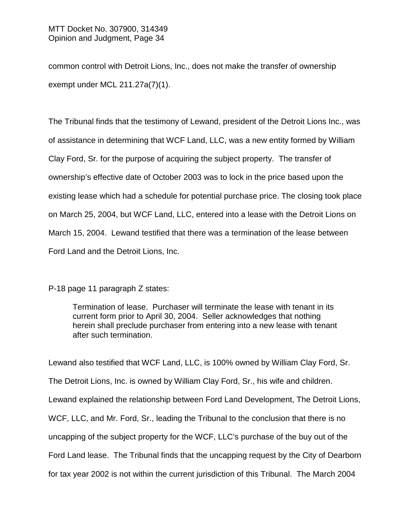common control with Detroit Lions, Inc., does not make the transfer of ownership exempt under MCL 211.27a(7)(1).

The Tribunal finds that the testimony of Lewand, president of the Detroit Lions Inc., was of assistance in determining that WCF Land, LLC, was a new entity formed by William Clay Ford, Sr. for the purpose of acquiring the subject property. The transfer of ownership's effective date of October 2003 was to lock in the price based upon the existing lease which had a schedule for potential purchase price. The closing took place on March 25, 2004, but WCF Land, LLC, entered into a lease with the Detroit Lions on March 15, 2004. Lewand testified that there was a termination of the lease between Ford Land and the Detroit Lions, Inc.

P-18 page 11 paragraph Z states:

Termination of lease. Purchaser will terminate the lease with tenant in its current form prior to April 30, 2004. Seller acknowledges that nothing herein shall preclude purchaser from entering into a new lease with tenant after such termination.

Lewand also testified that WCF Land, LLC, is 100% owned by William Clay Ford, Sr. The Detroit Lions, Inc. is owned by William Clay Ford, Sr., his wife and children. Lewand explained the relationship between Ford Land Development, The Detroit Lions, WCF, LLC, and Mr. Ford, Sr., leading the Tribunal to the conclusion that there is no uncapping of the subject property for the WCF, LLC's purchase of the buy out of the Ford Land lease. The Tribunal finds that the uncapping request by the City of Dearborn for tax year 2002 is not within the current jurisdiction of this Tribunal. The March 2004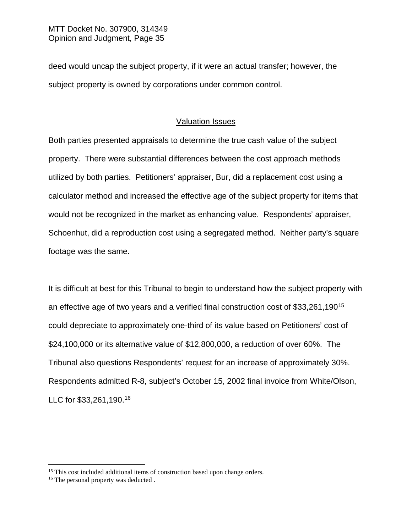deed would uncap the subject property, if it were an actual transfer; however, the subject property is owned by corporations under common control.

## Valuation Issues

Both parties presented appraisals to determine the true cash value of the subject property. There were substantial differences between the cost approach methods utilized by both parties. Petitioners' appraiser, Bur, did a replacement cost using a calculator method and increased the effective age of the subject property for items that would not be recognized in the market as enhancing value. Respondents' appraiser, Schoenhut, did a reproduction cost using a segregated method. Neither party's square footage was the same.

It is difficult at best for this Tribunal to begin to understand how the subject property with an effective age of two years and a verified final construction cost of \$33,261,190[15](#page-34-0) could depreciate to approximately one-third of its value based on Petitioners' cost of \$24,100,000 or its alternative value of \$12,800,000, a reduction of over 60%. The Tribunal also questions Respondents' request for an increase of approximately 30%. Respondents admitted R-8, subject's October 15, 2002 final invoice from White/Olson, LLC for \$33,261,190.[16](#page-34-1)

<span id="page-34-0"></span><sup>&</sup>lt;sup>15</sup> This cost included additional items of construction based upon change orders.

<span id="page-34-1"></span><sup>&</sup>lt;sup>16</sup> The personal property was deducted.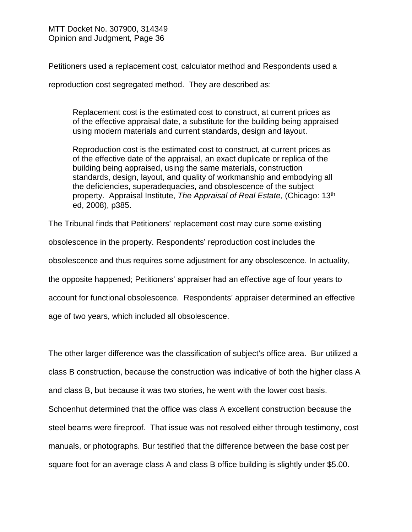Petitioners used a replacement cost, calculator method and Respondents used a

reproduction cost segregated method. They are described as:

Replacement cost is the estimated cost to construct, at current prices as of the effective appraisal date, a substitute for the building being appraised using modern materials and current standards, design and layout.

Reproduction cost is the estimated cost to construct, at current prices as of the effective date of the appraisal, an exact duplicate or replica of the building being appraised, using the same materials, construction standards, design, layout, and quality of workmanship and embodying all the deficiencies, superadequacies, and obsolescence of the subject property. Appraisal Institute, *The Appraisal of Real Estate*, (Chicago: 13th ed, 2008), p385.

The Tribunal finds that Petitioners' replacement cost may cure some existing

obsolescence in the property. Respondents' reproduction cost includes the

obsolescence and thus requires some adjustment for any obsolescence. In actuality,

the opposite happened; Petitioners' appraiser had an effective age of four years to

account for functional obsolescence. Respondents' appraiser determined an effective

age of two years, which included all obsolescence.

The other larger difference was the classification of subject's office area. Bur utilized a class B construction, because the construction was indicative of both the higher class A and class B, but because it was two stories, he went with the lower cost basis. Schoenhut determined that the office was class A excellent construction because the steel beams were fireproof. That issue was not resolved either through testimony, cost manuals, or photographs. Bur testified that the difference between the base cost per square foot for an average class A and class B office building is slightly under \$5.00.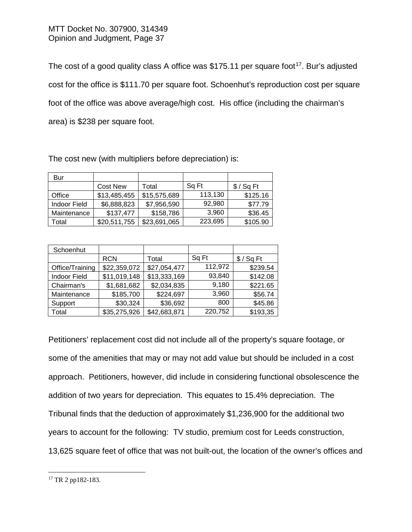The cost of a good quality class A office was \$[17](#page-36-0)5.11 per square foot<sup>17</sup>. Bur's adjusted cost for the office is \$111.70 per square foot. Schoenhut's reproduction cost per square foot of the office was above average/high cost. His office (including the chairman's area) is \$238 per square foot.

| Bur          |                 |              |         |             |
|--------------|-----------------|--------------|---------|-------------|
|              | <b>Cost New</b> | Total        | Sq Ft   | $$ /$ Sq Ft |
| Office       | \$13,485,455    | \$15,575,689 | 113,130 | \$125.16    |
| Indoor Field | \$6,888,823     | \$7,956,590  | 92,980  | \$77.79     |
| Maintenance  | \$137,477       | \$158,786    | 3,960   | \$36.45     |
| Total        | \$20,511,755    | \$23,691,065 | 223,695 | \$105.90    |

The cost new (with multipliers before depreciation) is:

| Schoenhut           |              |              |         |             |
|---------------------|--------------|--------------|---------|-------------|
|                     | <b>RCN</b>   | Total        | Sq Ft   | $$ /$ Sq Ft |
| Office/Training     | \$22,359,072 | \$27,054,477 | 112,972 | \$239.54    |
| <b>Indoor Field</b> | \$11,019,148 | \$13,333,169 | 93,840  | \$142.08    |
| Chairman's          | \$1,681,682  | \$2,034,835  | 9,180   | \$221.65    |
| Maintenance         | \$185,700    | \$224,697    | 3,960   | \$56.74     |
| Support             | \$30,324     | \$36,692     | 800     | \$45.86     |
| Total               | \$35,275,926 | \$42,683,871 | 220,752 | \$193,35    |
|                     |              |              |         |             |

Petitioners' replacement cost did not include all of the property's square footage, or some of the amenities that may or may not add value but should be included in a cost approach. Petitioners, however, did include in considering functional obsolescence the addition of two years for depreciation. This equates to 15.4% depreciation. The Tribunal finds that the deduction of approximately \$1,236,900 for the additional two years to account for the following: TV studio, premium cost for Leeds construction, 13,625 square feet of office that was not built-out, the location of the owner's offices and

<span id="page-36-0"></span> <sup>17</sup> TR 2 pp182-183.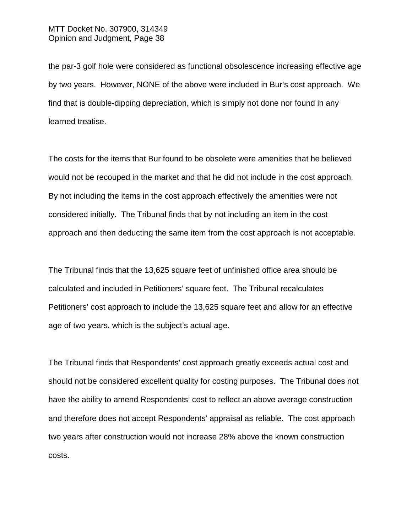the par-3 golf hole were considered as functional obsolescence increasing effective age by two years. However, NONE of the above were included in Bur's cost approach. We find that is double-dipping depreciation, which is simply not done nor found in any learned treatise.

The costs for the items that Bur found to be obsolete were amenities that he believed would not be recouped in the market and that he did not include in the cost approach. By not including the items in the cost approach effectively the amenities were not considered initially. The Tribunal finds that by not including an item in the cost approach and then deducting the same item from the cost approach is not acceptable.

The Tribunal finds that the 13,625 square feet of unfinished office area should be calculated and included in Petitioners' square feet. The Tribunal recalculates Petitioners' cost approach to include the 13,625 square feet and allow for an effective age of two years, which is the subject's actual age.

The Tribunal finds that Respondents' cost approach greatly exceeds actual cost and should not be considered excellent quality for costing purposes. The Tribunal does not have the ability to amend Respondents' cost to reflect an above average construction and therefore does not accept Respondents' appraisal as reliable. The cost approach two years after construction would not increase 28% above the known construction costs.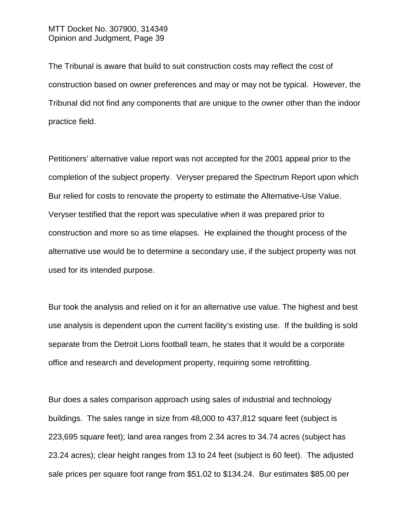The Tribunal is aware that build to suit construction costs may reflect the cost of construction based on owner preferences and may or may not be typical. However, the Tribunal did not find any components that are unique to the owner other than the indoor practice field.

Petitioners' alternative value report was not accepted for the 2001 appeal prior to the completion of the subject property. Veryser prepared the Spectrum Report upon which Bur relied for costs to renovate the property to estimate the Alternative-Use Value. Veryser testified that the report was speculative when it was prepared prior to construction and more so as time elapses. He explained the thought process of the alternative use would be to determine a secondary use, if the subject property was not used for its intended purpose.

Bur took the analysis and relied on it for an alternative use value. The highest and best use analysis is dependent upon the current facility's existing use. If the building is sold separate from the Detroit Lions football team, he states that it would be a corporate office and research and development property, requiring some retrofitting.

Bur does a sales comparison approach using sales of industrial and technology buildings. The sales range in size from 48,000 to 437,812 square feet (subject is 223,695 square feet); land area ranges from 2.34 acres to 34.74 acres (subject has 23.24 acres); clear height ranges from 13 to 24 feet (subject is 60 feet). The adjusted sale prices per square foot range from \$51.02 to \$134.24. Bur estimates \$85.00 per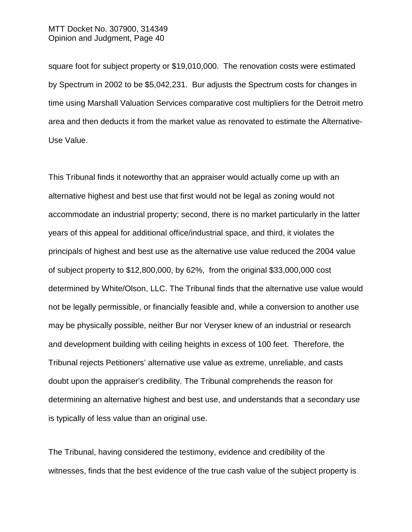square foot for subject property or \$19,010,000. The renovation costs were estimated by Spectrum in 2002 to be \$5,042,231. Bur adjusts the Spectrum costs for changes in time using Marshall Valuation Services comparative cost multipliers for the Detroit metro area and then deducts it from the market value as renovated to estimate the Alternative-Use Value.

This Tribunal finds it noteworthy that an appraiser would actually come up with an alternative highest and best use that first would not be legal as zoning would not accommodate an industrial property; second, there is no market particularly in the latter years of this appeal for additional office/industrial space, and third, it violates the principals of highest and best use as the alternative use value reduced the 2004 value of subject property to \$12,800,000, by 62%, from the original \$33,000,000 cost determined by White/Olson, LLC. The Tribunal finds that the alternative use value would not be legally permissible, or financially feasible and, while a conversion to another use may be physically possible, neither Bur nor Veryser knew of an industrial or research and development building with ceiling heights in excess of 100 feet. Therefore, the Tribunal rejects Petitioners' alternative use value as extreme, unreliable, and casts doubt upon the appraiser's credibility. The Tribunal comprehends the reason for determining an alternative highest and best use, and understands that a secondary use is typically of less value than an original use.

The Tribunal, having considered the testimony, evidence and credibility of the witnesses, finds that the best evidence of the true cash value of the subject property is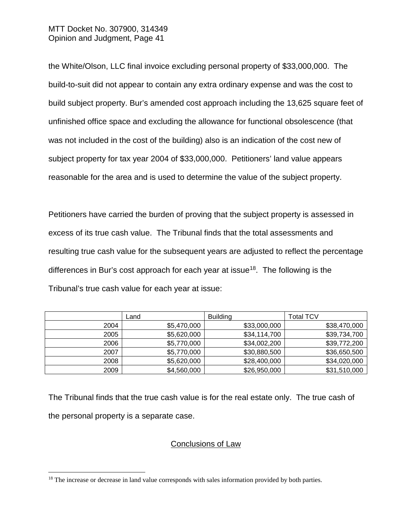the White/Olson, LLC final invoice excluding personal property of \$33,000,000. The build-to-suit did not appear to contain any extra ordinary expense and was the cost to build subject property. Bur's amended cost approach including the 13,625 square feet of unfinished office space and excluding the allowance for functional obsolescence (that was not included in the cost of the building) also is an indication of the cost new of subject property for tax year 2004 of \$33,000,000. Petitioners' land value appears reasonable for the area and is used to determine the value of the subject property.

Petitioners have carried the burden of proving that the subject property is assessed in excess of its true cash value. The Tribunal finds that the total assessments and resulting true cash value for the subsequent years are adjusted to reflect the percentage differences in Bur's cost approach for each year at issue<sup>[18](#page-40-0)</sup>. The following is the Tribunal's true cash value for each year at issue:

|      | Land        | <b>Building</b> | Total TCV    |
|------|-------------|-----------------|--------------|
| 2004 | \$5,470,000 | \$33,000,000    | \$38,470,000 |
| 2005 | \$5,620,000 | \$34,114,700    | \$39,734,700 |
| 2006 | \$5,770,000 | \$34,002,200    | \$39,772,200 |
| 2007 | \$5,770,000 | \$30,880,500    | \$36,650,500 |
| 2008 | \$5,620,000 | \$28,400,000    | \$34,020,000 |
| 2009 | \$4,560,000 | \$26,950,000    | \$31,510,000 |

The Tribunal finds that the true cash value is for the real estate only. The true cash of the personal property is a separate case.

### Conclusions of Law

<span id="page-40-0"></span><sup>&</sup>lt;sup>18</sup> The increase or decrease in land value corresponds with sales information provided by both parties.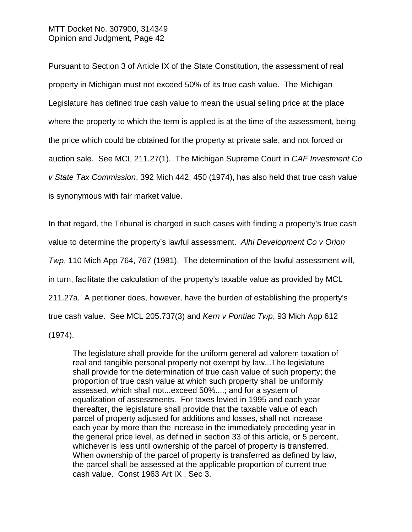Pursuant to Section 3 of Article IX of the State Constitution, the assessment of real property in Michigan must not exceed 50% of its true cash value. The Michigan Legislature has defined true cash value to mean the usual selling price at the place where the property to which the term is applied is at the time of the assessment, being the price which could be obtained for the property at private sale, and not forced or auction sale. See MCL 211.27(1). The Michigan Supreme Court in *CAF Investment Co v State Tax Commission*, 392 Mich 442, 450 (1974), has also held that true cash value is synonymous with fair market value.

In that regard, the Tribunal is charged in such cases with finding a property's true cash value to determine the property's lawful assessment. *Alhi Development Co v Orion Twp*, 110 Mich App 764, 767 (1981). The determination of the lawful assessment will, in turn, facilitate the calculation of the property's taxable value as provided by MCL 211.27a. A petitioner does, however, have the burden of establishing the property's true cash value. See MCL 205.737(3) and *Kern v Pontiac Twp*, 93 Mich App 612 (1974).

The legislature shall provide for the uniform general ad valorem taxation of real and tangible personal property not exempt by law...The legislature shall provide for the determination of true cash value of such property; the proportion of true cash value at which such property shall be uniformly assessed, which shall not...exceed 50%....; and for a system of equalization of assessments. For taxes levied in 1995 and each year thereafter, the legislature shall provide that the taxable value of each parcel of property adjusted for additions and losses, shall not increase each year by more than the increase in the immediately preceding year in the general price level, as defined in section 33 of this article, or 5 percent, whichever is less until ownership of the parcel of property is transferred. When ownership of the parcel of property is transferred as defined by law, the parcel shall be assessed at the applicable proportion of current true cash value. Const 1963 Art IX , Sec 3.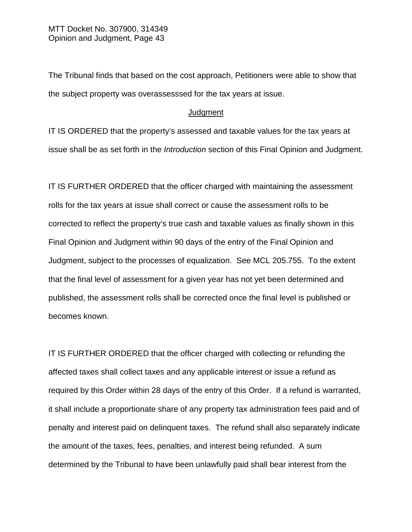The Tribunal finds that based on the cost approach, Petitioners were able to show that the subject property was overassesssed for the tax years at issue.

### **Judgment**

IT IS ORDERED that the property's assessed and taxable values for the tax years at issue shall be as set forth in the *Introduction* section of this Final Opinion and Judgment.

IT IS FURTHER ORDERED that the officer charged with maintaining the assessment rolls for the tax years at issue shall correct or cause the assessment rolls to be corrected to reflect the property's true cash and taxable values as finally shown in this Final Opinion and Judgment within 90 days of the entry of the Final Opinion and Judgment, subject to the processes of equalization. See MCL 205.755. To the extent that the final level of assessment for a given year has not yet been determined and published, the assessment rolls shall be corrected once the final level is published or becomes known.

IT IS FURTHER ORDERED that the officer charged with collecting or refunding the affected taxes shall collect taxes and any applicable interest or issue a refund as required by this Order within 28 days of the entry of this Order. If a refund is warranted, it shall include a proportionate share of any property tax administration fees paid and of penalty and interest paid on delinquent taxes. The refund shall also separately indicate the amount of the taxes, fees, penalties, and interest being refunded. A sum determined by the Tribunal to have been unlawfully paid shall bear interest from the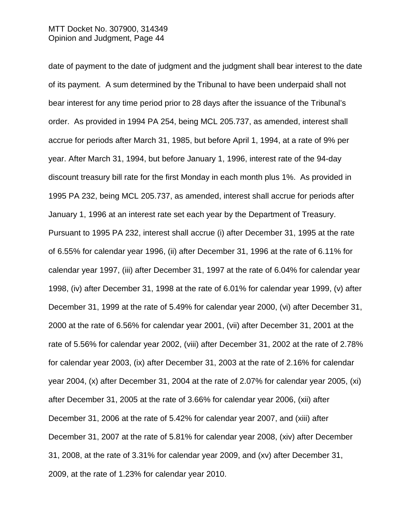date of payment to the date of judgment and the judgment shall bear interest to the date of its payment. A sum determined by the Tribunal to have been underpaid shall not bear interest for any time period prior to 28 days after the issuance of the Tribunal's order. As provided in 1994 PA 254, being MCL 205.737, as amended, interest shall accrue for periods after March 31, 1985, but before April 1, 1994, at a rate of 9% per year. After March 31, 1994, but before January 1, 1996, interest rate of the 94-day discount treasury bill rate for the first Monday in each month plus 1%. As provided in 1995 PA 232, being MCL 205.737, as amended, interest shall accrue for periods after January 1, 1996 at an interest rate set each year by the Department of Treasury. Pursuant to 1995 PA 232, interest shall accrue (i) after December 31, 1995 at the rate of 6.55% for calendar year 1996, (ii) after December 31, 1996 at the rate of 6.11% for calendar year 1997, (iii) after December 31, 1997 at the rate of 6.04% for calendar year 1998, (iv) after December 31, 1998 at the rate of 6.01% for calendar year 1999, (v) after December 31, 1999 at the rate of 5.49% for calendar year 2000, (vi) after December 31, 2000 at the rate of 6.56% for calendar year 2001, (vii) after December 31, 2001 at the rate of 5.56% for calendar year 2002, (viii) after December 31, 2002 at the rate of 2.78% for calendar year 2003, (ix) after December 31, 2003 at the rate of 2.16% for calendar year 2004, (x) after December 31, 2004 at the rate of 2.07% for calendar year 2005, (xi) after December 31, 2005 at the rate of 3.66% for calendar year 2006, (xii) after December 31, 2006 at the rate of 5.42% for calendar year 2007, and (xiii) after December 31, 2007 at the rate of 5.81% for calendar year 2008, (xiv) after December 31, 2008, at the rate of 3.31% for calendar year 2009, and (xv) after December 31, 2009, at the rate of 1.23% for calendar year 2010.